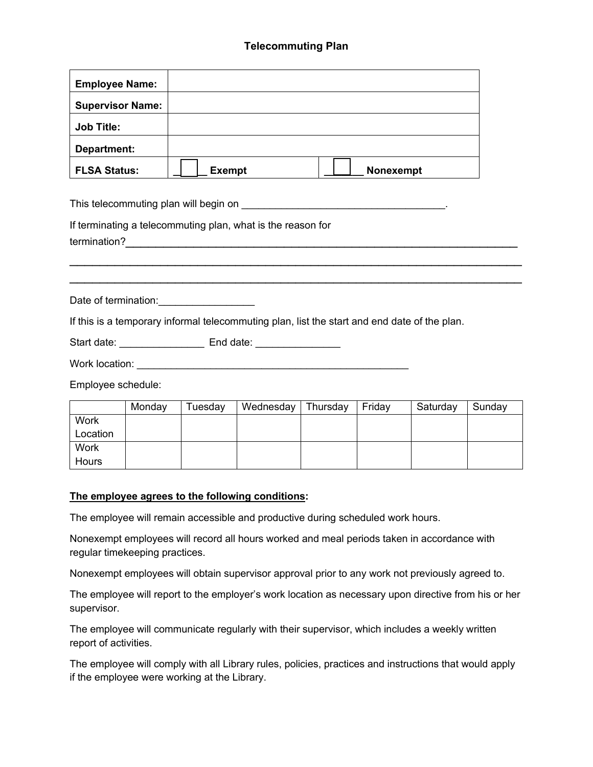## **Telecommuting Plan**

| <b>Employee Name:</b>   |               |           |
|-------------------------|---------------|-----------|
| <b>Supervisor Name:</b> |               |           |
| <b>Job Title:</b>       |               |           |
| Department:             |               |           |
| <b>FLSA Status:</b>     | <b>Exempt</b> | Nonexempt |

This telecommuting plan will begin on **EXALL EXACTS** and the set of the set of the set of the set of the set of the set of the set of the set of the set of the set of the set of the set of the set of the set of the set of

If terminating a telecommuting plan, what is the reason for

termination?\_\_\_\_\_\_\_\_\_\_\_\_\_\_\_\_\_\_\_\_\_\_\_\_\_\_\_\_\_\_\_\_\_\_\_\_\_\_\_\_\_\_\_\_\_\_\_\_\_\_\_\_

Date of termination:

If this is a temporary informal telecommuting plan, list the start and end date of the plan.

Start date: \_\_\_\_\_\_\_\_\_\_\_\_\_\_\_\_\_\_\_\_\_\_\_\_ End date: \_\_\_\_\_\_\_\_\_\_\_\_\_\_\_\_\_\_\_\_\_\_\_\_\_\_\_\_\_\_\_\_\_

Work location:

Employee schedule:

|          | Monday | Tuesday | Wednesday | Thursday | Friday | Saturday | Sunday |
|----------|--------|---------|-----------|----------|--------|----------|--------|
| Work     |        |         |           |          |        |          |        |
| Location |        |         |           |          |        |          |        |
| Work     |        |         |           |          |        |          |        |
| Hours    |        |         |           |          |        |          |        |

\_\_\_\_\_\_\_\_\_\_\_\_\_\_\_\_\_\_\_\_\_\_\_\_\_\_\_\_\_\_\_\_\_\_\_\_\_\_\_\_\_\_\_\_\_\_\_\_\_\_\_\_\_\_\_\_\_\_\_\_ \_\_\_\_\_\_\_\_\_\_\_\_\_\_\_\_\_\_\_\_\_\_\_\_\_\_\_\_\_\_\_\_\_\_\_\_\_\_\_\_\_\_\_\_\_\_\_\_\_\_\_\_\_\_\_\_\_\_\_\_

## **The employee agrees to the following conditions:**

The employee will remain accessible and productive during scheduled work hours.

Nonexempt employees will record all hours worked and meal periods taken in accordance with regular timekeeping practices.

Nonexempt employees will obtain supervisor approval prior to any work not previously agreed to.

The employee will report to the employer's work location as necessary upon directive from his or her supervisor.

The employee will communicate regularly with their supervisor, which includes a weekly written report of activities.

The employee will comply with all Library rules, policies, practices and instructions that would apply if the employee were working at the Library.